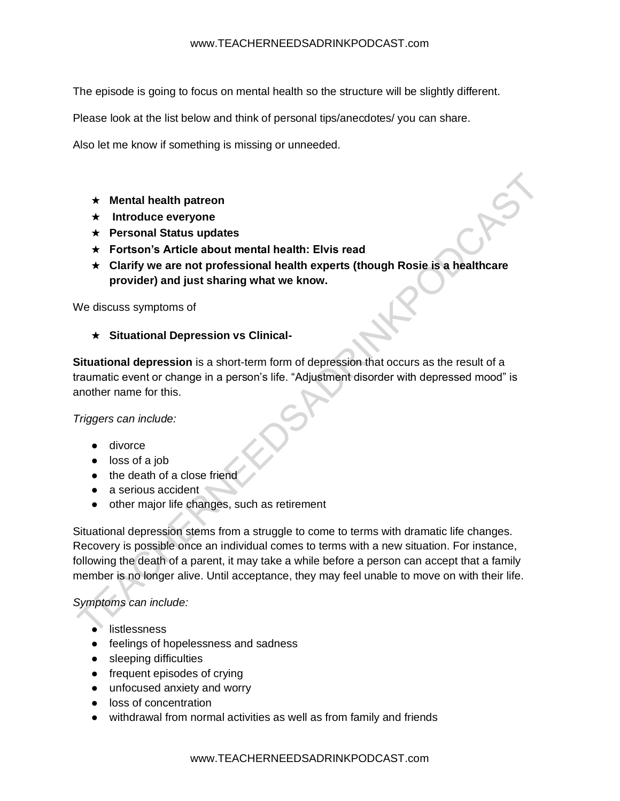The episode is going to focus on mental health so the structure will be slightly different.

Please look at the list below and think of personal tips/anecdotes/ you can share.

Also let me know if something is missing or unneeded.

- ★ **Mental health patreon**
- ★ **Introduce everyone**
- ★ **Personal Status updates**
- ★ **Fortson's Article about mental health: Elvis read**
- ★ **Clarify we are not professional health experts (though Rosie is a healthcare provider) and just sharing what we know.**

We discuss symptoms of

★ **Situational Depression vs Clinical-**

**Situational depression** is a short-term form of depression that occurs as the result of a traumatic event or change in a person's life. "Adjustment disorder with depressed mood" is another name for this.

*Triggers can include:*

- divorce
- loss of a job
- the death of a close friend
- a serious accident
- other major life changes, such as retirement

Situational depression stems from a struggle to come to terms with dramatic life changes. Recovery is possible once an individual comes to terms with a new situation. For instance, following the death of a parent, it may take a while before a person can accept that a family member is no longer alive. Until acceptance, they may feel unable to move on with their life.

### *Symptoms can include:*

- listlessness
- feelings of hopelessness and sadness
- sleeping difficulties
- frequent episodes of crying
- unfocused anxiety and worry
- loss of concentration
- withdrawal from normal activities as well as from family and friends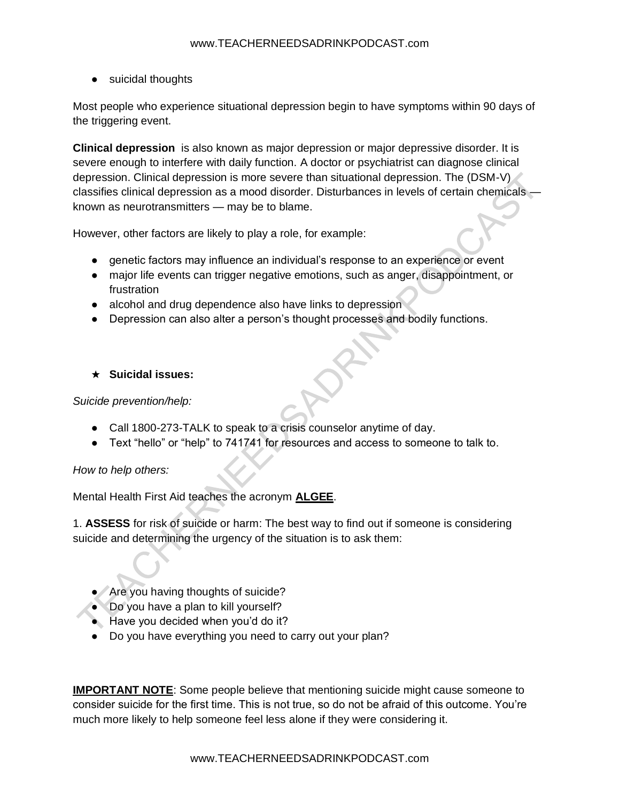● suicidal thoughts

Most people who experience situational depression begin to have symptoms within 90 days of the triggering event.

**Clinical depression** is also known as major depression or major depressive disorder. It is severe enough to interfere with daily function. A doctor or psychiatrist can diagnose clinical depression. Clinical depression is more severe than situational depression. The (DSM-V) classifies clinical depression as a mood disorder. Disturbances in levels of certain chemicals known as neurotransmitters — may be to blame.

However, other factors are likely to play a role, for example:

- genetic factors may influence an individual's response to an experience or event
- major life events can trigger negative emotions, such as anger, disappointment, or frustration
- alcohol and drug dependence also have links to depression
- Depression can also alter a person's thought processes and bodily functions.

### ★ **Suicidal issues:**

*Suicide prevention/help:* 

- Call 1800-273-TALK to speak to a crisis counselor anytime of day.
- Text "hello" or "help" to 741741 for resources and access to someone to talk to.

*How to help others:*

Mental Health First Aid teaches the acronym **ALGEE**.

1. **ASSESS** for risk of suicide or harm: The best way to find out if someone is considering suicide and determining the urgency of the situation is to ask them:

- Are you having thoughts of suicide?
- Do you have a plan to kill yourself?
- Have you decided when you'd do it?
- Do you have everything you need to carry out your plan?

**IMPORTANT NOTE**: Some people believe that mentioning suicide might cause someone to consider suicide for the first time. This is not true, so do not be afraid of this outcome. You're much more likely to help someone feel less alone if they were considering it.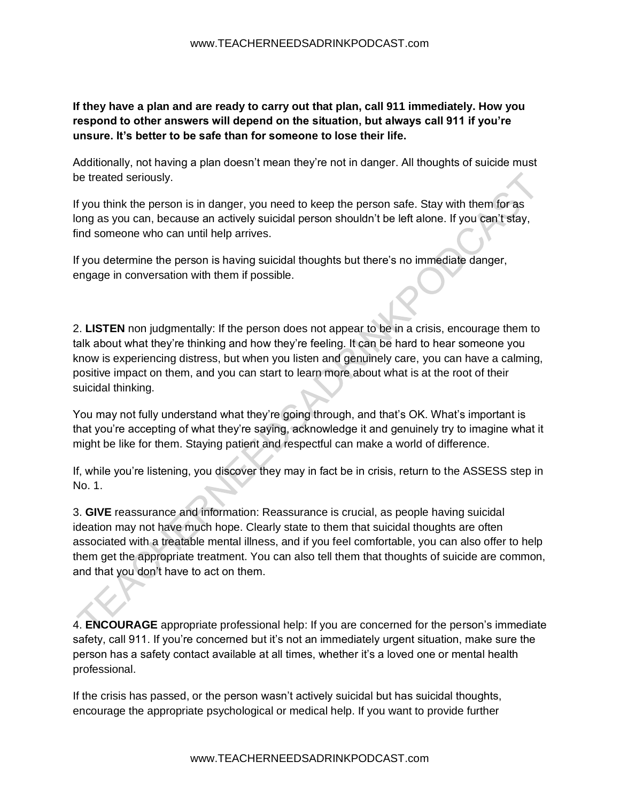**If they have a plan and are ready to carry out that plan, call 911 immediately. How you respond to other answers will depend on the situation, but always call 911 if you're unsure. It's better to be safe than for someone to lose their life.**

Additionally, not having a plan doesn't mean they're not in danger. All thoughts of suicide must be treated seriously.

If you think the person is in danger, you need to keep the person safe. Stay with them for as long as you can, because an actively suicidal person shouldn't be left alone. If you can't stay, find someone who can until help arrives.

If you determine the person is having suicidal thoughts but there's no immediate danger, engage in conversation with them if possible.

2. **LISTEN** non judgmentally: If the person does not appear to be in a crisis, encourage them to talk about what they're thinking and how they're feeling. It can be hard to hear someone you know is experiencing distress, but when you listen and genuinely care, you can have a calming, positive impact on them, and you can start to learn more about what is at the root of their suicidal thinking.

You may not fully understand what they're going through, and that's OK. What's important is that you're accepting of what they're saying, acknowledge it and genuinely try to imagine what it might be like for them. Staying patient and respectful can make a world of difference.

If, while you're listening, you discover they may in fact be in crisis, return to the ASSESS step in No. 1.

3. **GIVE** reassurance and information: Reassurance is crucial, as people having suicidal ideation may not have much hope. Clearly state to them that suicidal thoughts are often associated with a treatable mental illness, and if you feel comfortable, you can also offer to help them get the appropriate treatment. You can also tell them that thoughts of suicide are common, and that you don't have to act on them.

4. **ENCOURAGE** appropriate professional help: If you are concerned for the person's immediate safety, call 911. If you're concerned but it's not an immediately urgent situation, make sure the person has a safety contact available at all times, whether it's a loved one or mental health professional.

If the crisis has passed, or the person wasn't actively suicidal but has suicidal thoughts, encourage the appropriate psychological or medical help. If you want to provide further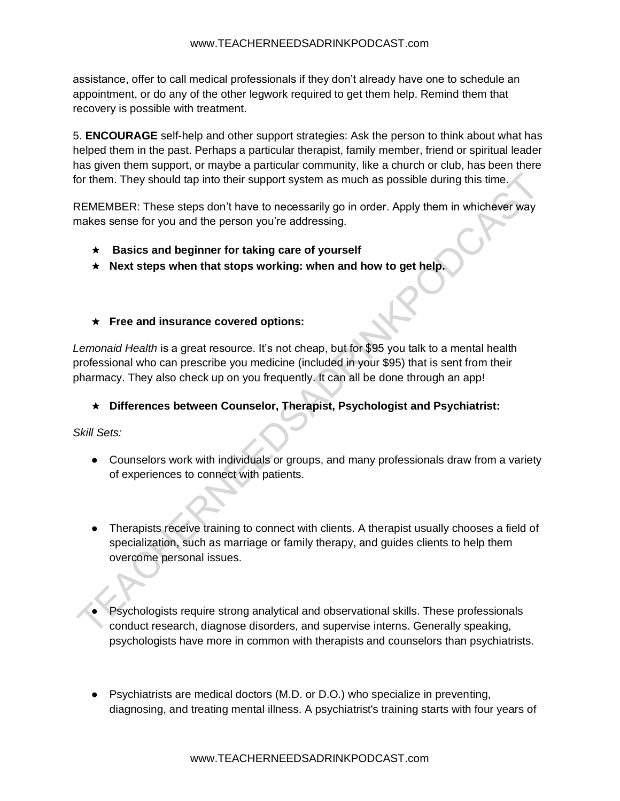assistance, offer to call medical professionals if they don't already have one to schedule an appointment, or do any of the other legwork required to get them help. Remind them that recovery is possible with treatment.

5. **ENCOURAGE** self-help and other support strategies: Ask the person to think about what has helped them in the past. Perhaps a particular therapist, family member, friend or spiritual leader has given them support, or maybe a particular community, like a church or club, has been there for them. They should tap into their support system as much as possible during this time.

REMEMBER: These steps don't have to necessarily go in order. Apply them in whichever way makes sense for you and the person you're addressing.

- ★ **Basics and beginner for taking care of yourself**
- ★ **Next steps when that stops working: when and how to get help.**
- ★ **Free and insurance covered options:**

*Lemonaid Health* is a great resource. It's not cheap, but for \$95 you talk to a mental health professional who can prescribe you medicine (included in your \$95) that is sent from their pharmacy. They also check up on you frequently. It can all be done through an app!

### ★ **Differences between Counselor, Therapist, Psychologist and Psychiatrist:**

*Skill Sets:*

- Counselors work with individuals or groups, and many professionals draw from a variety of experiences to connect with patients.
- Therapists receive training to connect with clients. A therapist usually chooses a field of specialization, such as marriage or family therapy, and guides clients to help them overcome personal issues.
- Psychologists require strong analytical and observational skills. These professionals conduct research, diagnose disorders, and supervise interns. Generally speaking, psychologists have more in common with therapists and counselors than psychiatrists.
- Psychiatrists are medical doctors (M.D. or D.O.) who specialize in preventing, diagnosing, and treating mental illness. A psychiatrist's training starts with four years of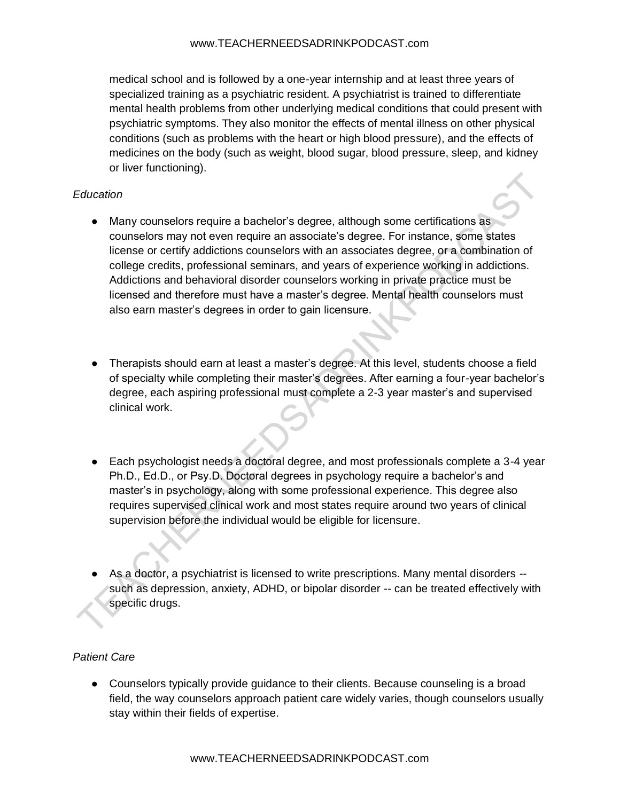#### www.TEACHERNEEDSADRINKPODCAST.com

medical school and is followed by a one-year internship and at least three years of specialized training as a psychiatric resident. A psychiatrist is trained to differentiate mental health problems from other underlying medical conditions that could present with psychiatric symptoms. They also monitor the effects of mental illness on other physical conditions (such as problems with the heart or high blood pressure), and the effects of medicines on the body (such as weight, blood sugar, blood pressure, sleep, and kidney or liver functioning).

### *Education*

- Many counselors require a bachelor's degree, although some certifications as counselors may not even require an associate's degree. For instance, some states license or certify addictions counselors with an associates degree, or a combination of college credits, professional seminars, and years of experience working in addictions. Addictions and behavioral disorder counselors working in private practice must be licensed and therefore must have a master's degree. Mental health counselors must also earn master's degrees in order to gain licensure.
- Therapists should earn at least a master's degree. At this level, students choose a field of specialty while completing their master's degrees. After earning a four-year bachelor's degree, each aspiring professional must complete a 2-3 year master's and supervised clinical work.
- Each psychologist needs a doctoral degree, and most professionals complete a 3-4 year Ph.D., Ed.D., or Psy.D. Doctoral degrees in psychology require a bachelor's and master's in psychology, along with some professional experience. This degree also requires supervised clinical work and most states require around two years of clinical supervision before the individual would be eligible for licensure.
- As a doctor, a psychiatrist is licensed to write prescriptions. Many mental disorders -such as depression, anxiety, ADHD, or bipolar disorder -- can be treated effectively with specific drugs.

# *Patient Care*

● Counselors typically provide guidance to their clients. Because counseling is a broad field, the way counselors approach patient care widely varies, though counselors usually stay within their fields of expertise.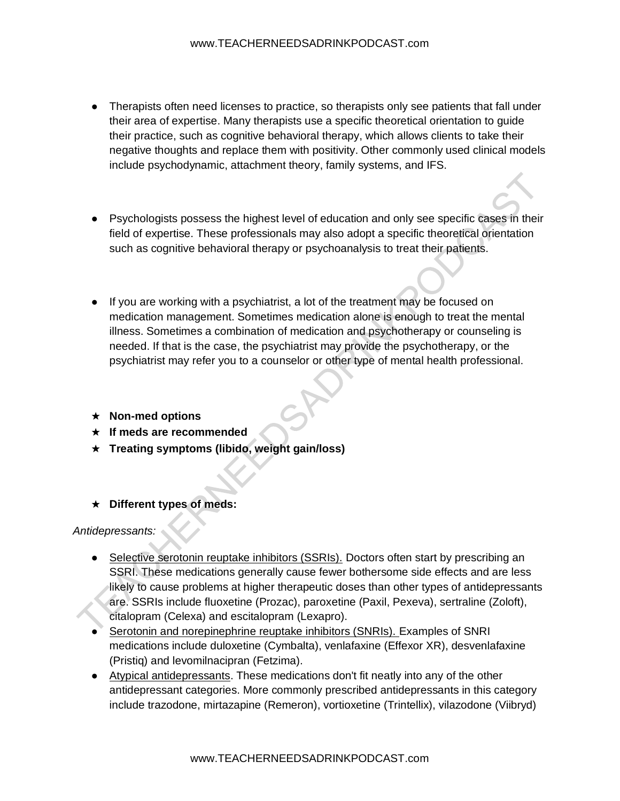- Therapists often need licenses to practice, so therapists only see patients that fall under their area of expertise. Many therapists use a specific theoretical orientation to guide their practice, such as cognitive behavioral therapy, which allows clients to take their negative thoughts and replace them with positivity. Other commonly used clinical models include psychodynamic, attachment theory, family systems, and IFS.
- Psychologists possess the highest level of education and only see specific cases in their field of expertise. These professionals may also adopt a specific theoretical orientation such as cognitive behavioral therapy or psychoanalysis to treat their patients.
- If you are working with a psychiatrist, a lot of the treatment may be focused on medication management. Sometimes medication alone is enough to treat the mental illness. Sometimes a combination of medication and psychotherapy or counseling is needed. If that is the case, the psychiatrist may provide the psychotherapy, or the psychiatrist may refer you to a counselor or other type of mental health professional.
- ★ **Non-med options**
- ★ **If meds are recommended**
- ★ **Treating symptoms (libido, weight gain/loss)**
- ★ **Different types of meds:**

### *Antidepressants:*

- Selective serotonin reuptake inhibitors (SSRIs). Doctors often start by prescribing an SSRI. These medications generally cause fewer bothersome side effects and are less likely to cause problems at higher therapeutic doses than other types of antidepressants are. SSRIs include fluoxetine (Prozac), paroxetine (Paxil, Pexeva), sertraline (Zoloft), citalopram (Celexa) and escitalopram (Lexapro).
- Serotonin and norepinephrine reuptake inhibitors (SNRIs). Examples of SNRI medications include duloxetine (Cymbalta), venlafaxine (Effexor XR), desvenlafaxine (Pristiq) and levomilnacipran (Fetzima).
- Atypical antidepressants. These medications don't fit neatly into any of the other antidepressant categories. More commonly prescribed antidepressants in this category include trazodone, mirtazapine (Remeron), vortioxetine (Trintellix), vilazodone (Viibryd)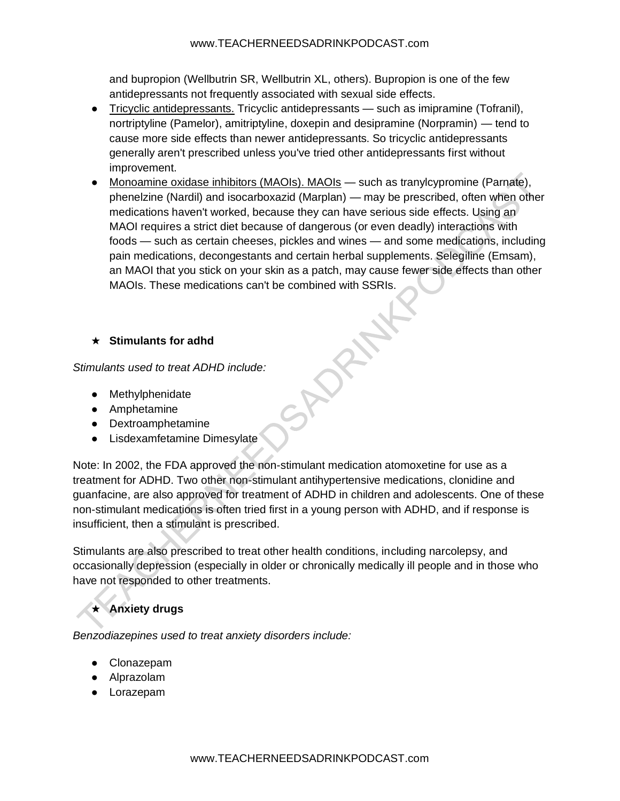and bupropion (Wellbutrin SR, Wellbutrin XL, others). Bupropion is one of the few antidepressants not frequently associated with sexual side effects.

- Tricyclic antidepressants. Tricyclic antidepressants such as imipramine (Tofranil), nortriptyline (Pamelor), amitriptyline, doxepin and desipramine (Norpramin) — tend to cause more side effects than newer antidepressants. So tricyclic antidepressants generally aren't prescribed unless you've tried other antidepressants first without improvement.
- Monoamine oxidase inhibitors (MAOIs). MAOIs such as tranylcypromine (Parnate), phenelzine (Nardil) and isocarboxazid (Marplan) — may be prescribed, often when other medications haven't worked, because they can have serious side effects. Using an MAOI requires a strict diet because of dangerous (or even deadly) interactions with foods — such as certain cheeses, pickles and wines — and some medications, including pain medications, decongestants and certain herbal supplements. Selegiline (Emsam), an MAOI that you stick on your skin as a patch, may cause fewer side effects than other MAOIs. These medications can't be combined with SSRIs.

# ★ **Stimulants for adhd**

*Stimulants used to treat ADHD include:*

- Methylphenidate
- Amphetamine
- Dextroamphetamine
- Lisdexamfetamine Dimesylate

Note: In 2002, the FDA approved the non-stimulant medication atomoxetine for use as a treatment for ADHD. Two other non-stimulant antihypertensive medications, clonidine and guanfacine, are also approved for treatment of ADHD in children and adolescents. One of these non-stimulant medications is often tried first in a young person with ADHD, and if response is insufficient, then a stimulant is prescribed.

Stimulants are also prescribed to treat other health conditions, including narcolepsy, and occasionally depression (especially in older or chronically medically ill people and in those who have not responded to other treatments.

# ★ **Anxiety drugs**

*Benzodiazepines used to treat anxiety disorders include:*

- Clonazepam
- Alprazolam
- Lorazepam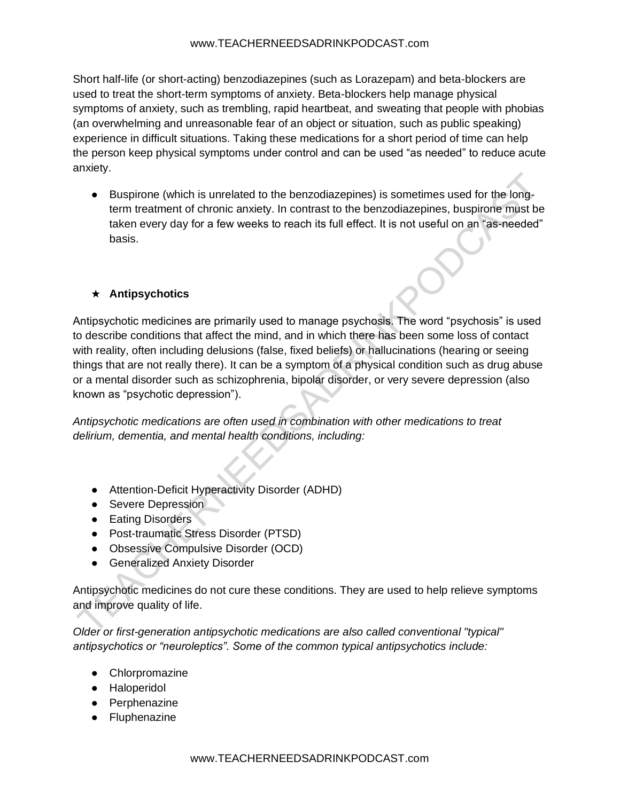#### www.TEACHERNEEDSADRINKPODCAST.com

Short half-life (or short-acting) benzodiazepines (such as Lorazepam) and beta-blockers are used to treat the short-term symptoms of anxiety. Beta-blockers help manage physical symptoms of anxiety, such as trembling, rapid heartbeat, and sweating that people with phobias (an overwhelming and unreasonable fear of an object or situation, such as public speaking) experience in difficult situations. Taking these medications for a short period of time can help the person keep physical symptoms under control and can be used "as needed" to reduce acute anxiety.

● Buspirone (which is unrelated to the benzodiazepines) is sometimes used for the longterm treatment of chronic anxiety. In contrast to the benzodiazepines, buspirone must be taken every day for a few weeks to reach its full effect. It is not useful on an "as-needed" basis.

### ★ **Antipsychotics**

Antipsychotic medicines are primarily used to manage psychosis. The word "psychosis" is used to describe conditions that affect the mind, and in which there has been some loss of contact with reality, often including delusions (false, fixed beliefs) or hallucinations (hearing or seeing things that are not really there). It can be a symptom of a physical condition such as drug abuse or a mental disorder such as schizophrenia, bipolar disorder, or very severe depression (also known as "psychotic depression").

*Antipsychotic medications are often used in combination with other medications to treat delirium, dementia, and mental health conditions, including:*

- Attention-Deficit Hyperactivity Disorder (ADHD)
- Severe Depression
- Eating Disorders
- Post-traumatic Stress Disorder (PTSD)
- Obsessive Compulsive Disorder (OCD)
- Generalized Anxiety Disorder

Antipsychotic medicines do not cure these conditions. They are used to help relieve symptoms and improve quality of life.

*Older or first-generation antipsychotic medications are also called conventional "typical" antipsychotics or "neuroleptics". Some of the common typical antipsychotics include:*

- Chlorpromazine
- Haloperidol
- Perphenazine
- Fluphenazine